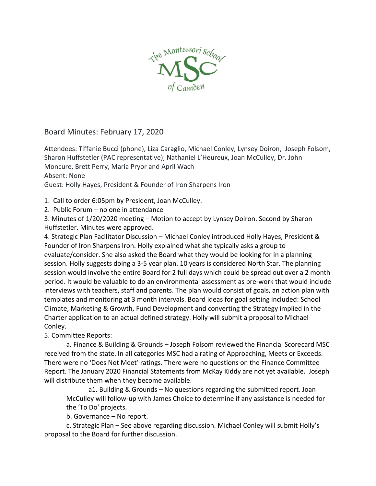

Board Minutes: February 17, 2020

Attendees: Tiffanie Bucci (phone), Liza Caraglio, Michael Conley, Lynsey Doiron, Joseph Folsom, Sharon Huffstetler (PAC representative), Nathaniel L'Heureux, Joan McCulley, Dr. John Moncure, Brett Perry, Maria Pryor and April Wach Absent: None

Guest: Holly Hayes, President & Founder of Iron Sharpens Iron

1. Call to order 6:05pm by President, Joan McCulley.

2. Public Forum – no one in attendance

3. Minutes of 1/20/2020 meeting – Motion to accept by Lynsey Doiron. Second by Sharon Huffstetler. Minutes were approved.

4. Strategic Plan Facilitator Discussion – Michael Conley introduced Holly Hayes, President & Founder of Iron Sharpens Iron. Holly explained what she typically asks a group to evaluate/consider. She also asked the Board what they would be looking for in a planning session. Holly suggests doing a 3-5 year plan. 10 years is considered North Star. The planning session would involve the entire Board for 2 full days which could be spread out over a 2 month period. It would be valuable to do an environmental assessment as pre-work that would include interviews with teachers, staff and parents. The plan would consist of goals, an action plan with templates and monitoring at 3 month intervals. Board ideas for goal setting included: School Climate, Marketing & Growth, Fund Development and converting the Strategy implied in the Charter application to an actual defined strategy. Holly will submit a proposal to Michael Conley.

5. Committee Reports:

a. Finance & Building & Grounds – Joseph Folsom reviewed the Financial Scorecard MSC received from the state. In all categories MSC had a rating of Approaching, Meets or Exceeds. There were no 'Does Not Meet' ratings. There were no questions on the Finance Committee Report. The January 2020 Financial Statements from McKay Kiddy are not yet available. Joseph will distribute them when they become available.

a1. Building & Grounds – No questions regarding the submitted report. Joan McCulley will follow-up with James Choice to determine if any assistance is needed for the 'To Do' projects.

b. Governance – No report.

c. Strategic Plan – See above regarding discussion. Michael Conley will submit Holly's proposal to the Board for further discussion.